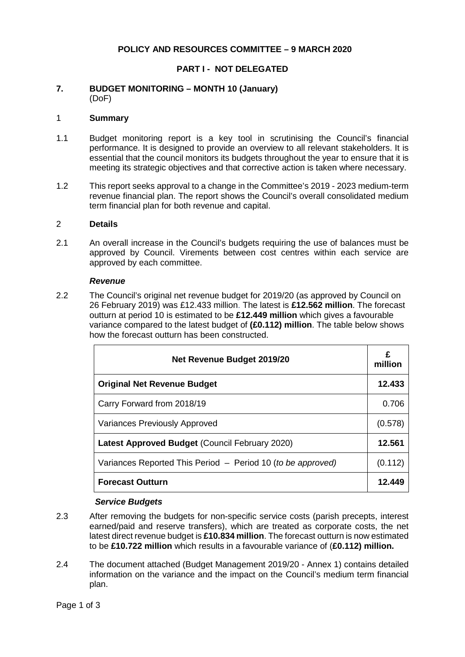# **POLICY AND RESOURCES COMMITTEE – 9 MARCH 2020**

### **PART I - NOT DELEGATED**

#### **7. BUDGET MONITORING – MONTH 10 (January)** (DoF)

#### 1 **Summary**

- 1.1 Budget monitoring report is a key tool in scrutinising the Council's financial performance. It is designed to provide an overview to all relevant stakeholders. It is essential that the council monitors its budgets throughout the year to ensure that it is meeting its strategic objectives and that corrective action is taken where necessary.
- 1.2 This report seeks approval to a change in the Committee's 2019 2023 medium-term revenue financial plan. The report shows the Council's overall consolidated medium term financial plan for both revenue and capital.

#### 2 **Details**

2.1 An overall increase in the Council's budgets requiring the use of balances must be approved by Council. Virements between cost centres within each service are approved by each committee.

#### *Revenue*

2.2 The Council's original net revenue budget for 2019/20 (as approved by Council on 26 February 2019) was £12.433 million. The latest is **£12.562 million**. The forecast outturn at period 10 is estimated to be **£12.449 million** which gives a favourable variance compared to the latest budget of **(£0.112) million**. The table below shows how the forecast outturn has been constructed.

| <b>Net Revenue Budget 2019/20</b>                           |         |  |  |
|-------------------------------------------------------------|---------|--|--|
| <b>Original Net Revenue Budget</b>                          | 12.433  |  |  |
| Carry Forward from 2018/19                                  | 0.706   |  |  |
| <b>Variances Previously Approved</b>                        |         |  |  |
| <b>Latest Approved Budget (Council February 2020)</b>       | 12.561  |  |  |
| Variances Reported This Period - Period 10 (to be approved) | (0.112) |  |  |
| <b>Forecast Outturn</b>                                     | 12.449  |  |  |

#### *Service Budgets*

- 2.3 After removing the budgets for non-specific service costs (parish precepts, interest earned/paid and reserve transfers), which are treated as corporate costs, the net latest direct revenue budget is **£10.834 million**. The forecast outturn is now estimated to be **£10.722 million** which results in a favourable variance of (**£0.112) million.**
- 2.4 The document attached (Budget Management 2019/20 Annex 1) contains detailed information on the variance and the impact on the Council's medium term financial plan.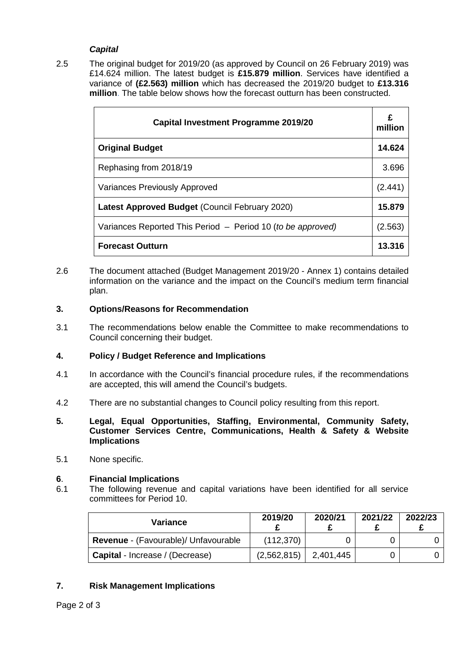# *Capital*

2.5 The original budget for 2019/20 (as approved by Council on 26 February 2019) was £14.624 million. The latest budget is **£15.879 million**. Services have identified a variance of **(£2.563) million** which has decreased the 2019/20 budget to **£13.316 million**. The table below shows how the forecast outturn has been constructed.

| <b>Capital Investment Programme 2019/20</b>                 |         |  |
|-------------------------------------------------------------|---------|--|
| <b>Original Budget</b>                                      | 14.624  |  |
| Rephasing from 2018/19                                      | 3.696   |  |
| <b>Variances Previously Approved</b>                        | (2.441) |  |
| <b>Latest Approved Budget (Council February 2020)</b>       | 15,879  |  |
| Variances Reported This Period - Period 10 (to be approved) | (2.563) |  |
| <b>Forecast Outturn</b>                                     | 13.316  |  |

2.6 The document attached (Budget Management 2019/20 - Annex 1) contains detailed information on the variance and the impact on the Council's medium term financial plan.

# **3. Options/Reasons for Recommendation**

3.1 The recommendations below enable the Committee to make recommendations to Council concerning their budget.

# **4. Policy / Budget Reference and Implications**

- 4.1 In accordance with the Council's financial procedure rules, if the recommendations are accepted, this will amend the Council's budgets.
- 4.2 There are no substantial changes to Council policy resulting from this report.
- **5. Legal, Equal Opportunities, Staffing, Environmental, Community Safety, Customer Services Centre, Communications, Health & Safety & Website Implications**
- 5.1 None specific.

# **6**. **Financial Implications**

6.1 The following revenue and capital variations have been identified for all service committees for Period 10.

| Variance                               | 2019/20     | 2020/21   | 2021/22 | 2022/23 |
|----------------------------------------|-------------|-----------|---------|---------|
| Revenue - (Favourable)/ Unfavourable   | (112, 370)  |           |         |         |
| <b>Capital</b> - Increase / (Decrease) | (2,562,815) | 2,401,445 |         |         |

# **7. Risk Management Implications**